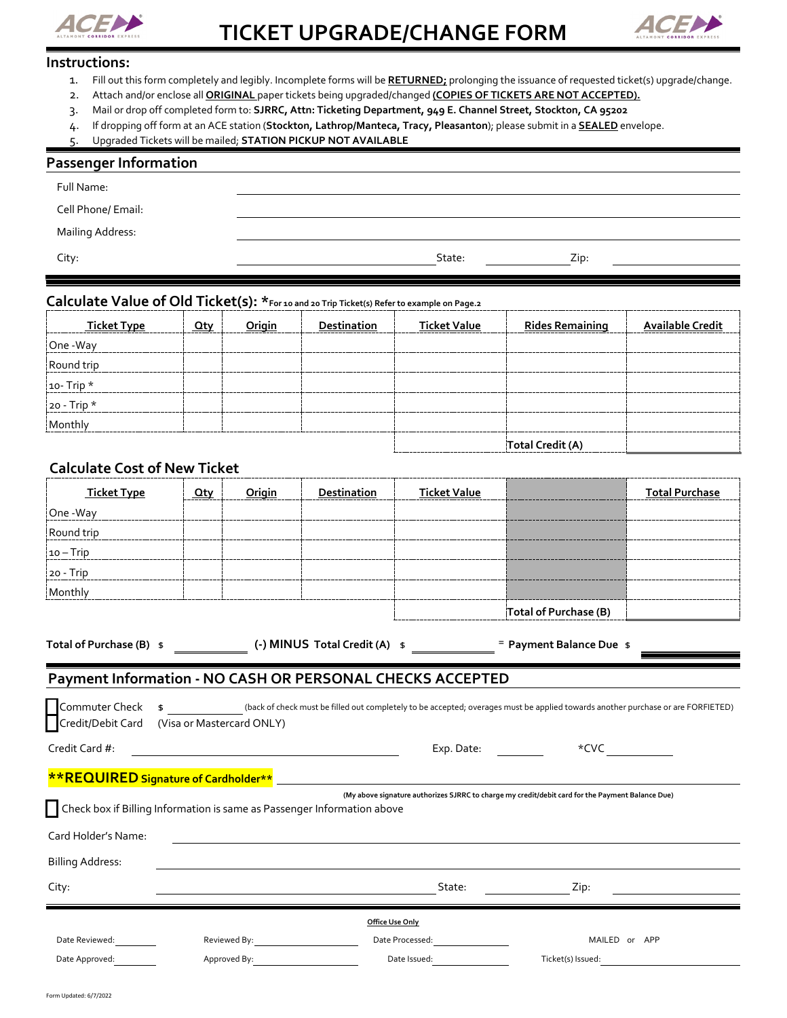



### **Instructions:**

- 1. Fill out this form completely and legibly. Incomplete forms will be **RETURNED;** prolonging the issuance of requested ticket(s) upgrade/change.
- 2. Attach and/or enclose all **ORIGINAL** paper tickets being upgraded/changed **(COPIES OF TICKETS ARE NOT ACCEPTED).**
- 3. Mail or drop off completed form to: **SJRRC, Attn: Ticketing Department, 949 E. Channel Street, Stockton, CA 95202**
- 4. If dropping off form at an ACE station (**Stockton, Lathrop/Manteca, Tracy, Pleasanton**); please submit in a **SEALED** envelope.
- 5. Upgraded Tickets will be mailed; **STATION PICKUP NOT AVAILABLE**

## **Passenger Information**

| Cell Phone/ Email:<br>Mailing Address: | Full Name: |        |      |
|----------------------------------------|------------|--------|------|
|                                        |            |        |      |
|                                        |            |        |      |
|                                        | City:      | State: | Zip: |

## **Calculate Value of Old Ticket(s): \*For 10 and 20 Trip Ticket(s) Refer to example on Page.2**

| <b>Ticket Type</b> | Qty | Origin | <b>Destination</b> | <b>Ticket Value</b> | <b>Rides Remaining</b> | <b>Available Credit</b> |
|--------------------|-----|--------|--------------------|---------------------|------------------------|-------------------------|
| One -Way           |     |        |                    |                     |                        |                         |
| Round trip         |     |        |                    |                     |                        |                         |
| $ 10 - Trip *$     |     |        |                    |                     |                        |                         |
| $ 20 - Trip *$     |     |        |                    |                     |                        |                         |
| Monthly            |     |        |                    |                     |                        |                         |
|                    |     |        |                    |                     | Total Credit (A)       |                         |

## **Calculate Cost of New Ticket**

| <b>Ticket Type</b> | Qty | Origin | Destination | <b>Ticket Value</b> |                       | <b>Total Purchase</b> |
|--------------------|-----|--------|-------------|---------------------|-----------------------|-----------------------|
| One -Way           |     |        |             |                     |                       |                       |
| Round trip         |     |        |             |                     |                       |                       |
| $10-Trip$          |     |        |             |                     |                       |                       |
| $ 20 - Trip $      |     |        |             |                     |                       |                       |
| Monthly            |     |        |             |                     |                       |                       |
|                    |     |        |             |                     | Total of Purchase (B) |                       |

## **Total of Purchase (B)** \$ **(-) MINUS Total Credit (A)** \$ = **Payment Balance Due** \$

## **Payment Information - NO CASH OR PERSONAL CHECKS ACCEPTED**

|                         |                                                                                                                                                                                                                                | Commuter Check \$ _____________(back of check must be filled out completely to be accepted; overages must be applied towards another purchase or are FORFIETED)<br>Credit/Debit Card (Visa or Mastercard ONLY) |                                |  |
|-------------------------|--------------------------------------------------------------------------------------------------------------------------------------------------------------------------------------------------------------------------------|----------------------------------------------------------------------------------------------------------------------------------------------------------------------------------------------------------------|--------------------------------|--|
| Credit Card #:          | <u> 1989 - Johann Barnett, fransk politiker (d. 1989)</u>                                                                                                                                                                      | Exp. Date:                                                                                                                                                                                                     | $*$ CVC $\qquad \qquad \qquad$ |  |
|                         |                                                                                                                                                                                                                                |                                                                                                                                                                                                                |                                |  |
|                         | Check box if Billing Information is same as Passenger Information above                                                                                                                                                        | (My above signature authorizes SJRRC to charge my credit/debit card for the Payment Balance Due)                                                                                                               |                                |  |
| Card Holder's Name:     |                                                                                                                                                                                                                                |                                                                                                                                                                                                                |                                |  |
| <b>Billing Address:</b> |                                                                                                                                                                                                                                |                                                                                                                                                                                                                |                                |  |
| City:                   |                                                                                                                                                                                                                                | State:                                                                                                                                                                                                         | Zip:                           |  |
|                         |                                                                                                                                                                                                                                | Office Use Only                                                                                                                                                                                                |                                |  |
| Date Reviewed:          | Reviewed By: The control of the control of the control of the control of the control of the control of the control of the control of the control of the control of the control of the control of the control of the control of | Date Processed:                                                                                                                                                                                                | MAILED or APP                  |  |
| Date Approved:          | Approved By: Approved By:                                                                                                                                                                                                      | Date Issued:                                                                                                                                                                                                   | Ticket(s) Issued:              |  |